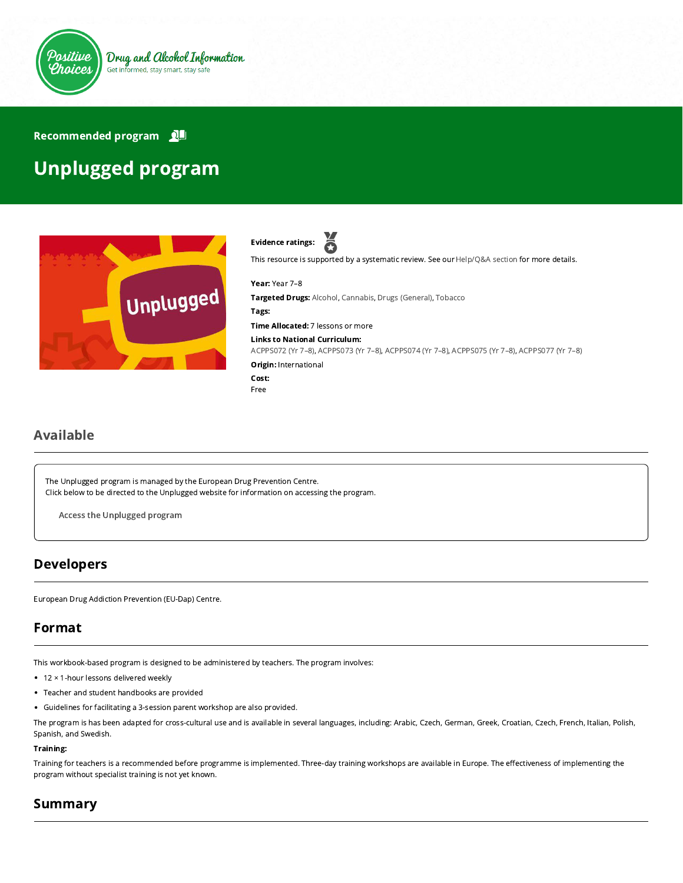

### Recommended program

# Unplugged program



ă Evidence ratings:

This resource is supported by a systematic review. See our [Help/Q&A section](https://positivechoices.org.au/help/questions-and-answers/) for more details.

Year: Year 7–8

Targeted Drugs: Alcohol, Cannabis, Drugs (General), Tobacco

Tags:

Time Allocated: 7 lessons or more

Links to National Curriculum:

[ACPPS072 \(Yr 7–8\),](http://www.australiancurriculum.edu.au/Curriculum/ContentDescription/ACPPS072) [ACPPS073 \(Yr 7–8\)](http://www.australiancurriculum.edu.au/Curriculum/ContentDescription/ACPPS073), [ACPPS074 \(Yr 7–8\)](http://www.australiancurriculum.edu.au/Curriculum/ContentDescription/ACPPS074), [ACPPS075 \(Yr 7–8\)](http://www.australiancurriculum.edu.au/Curriculum/ContentDescription/ACPPS075), [ACPPS077 \(Yr 7–8\)](http://www.australiancurriculum.edu.au/Curriculum/ContentDescription/ACPPS077)

**Origin: International** Cost:

Free

### Available

The Unplugged program is managed by the European Drug Prevention Centre. Click below to be directed to the Unplugged website for information on accessing the program.

Access the [Unplugged](http://www.eudap.net/Unplugged_HomePage.aspx) program

### Developers

European Drug Addiction Prevention (EU-Dap) Centre.

### Format

This workbook-based program is designed to be administered by teachers. The program involves:

- $\bullet$  12  $\times$  1-hour lessons delivered weekly
- Teacher and student handbooks are provided
- Guidelines for facilitating a 3-session parent workshop are also provided.

The program is has been adapted for cross-cultural use and is available in several languages, including: Arabic, Czech, German, Greek, Croatian, Czech, French, Italian, Polish, Spanish, and Swedish.

#### Training:

Training for teachers is a recommended before programme is implemented. Three-day training workshops are available in Europe. The effectiveness of implementing the program without specialist training is not yet known.

### Summary